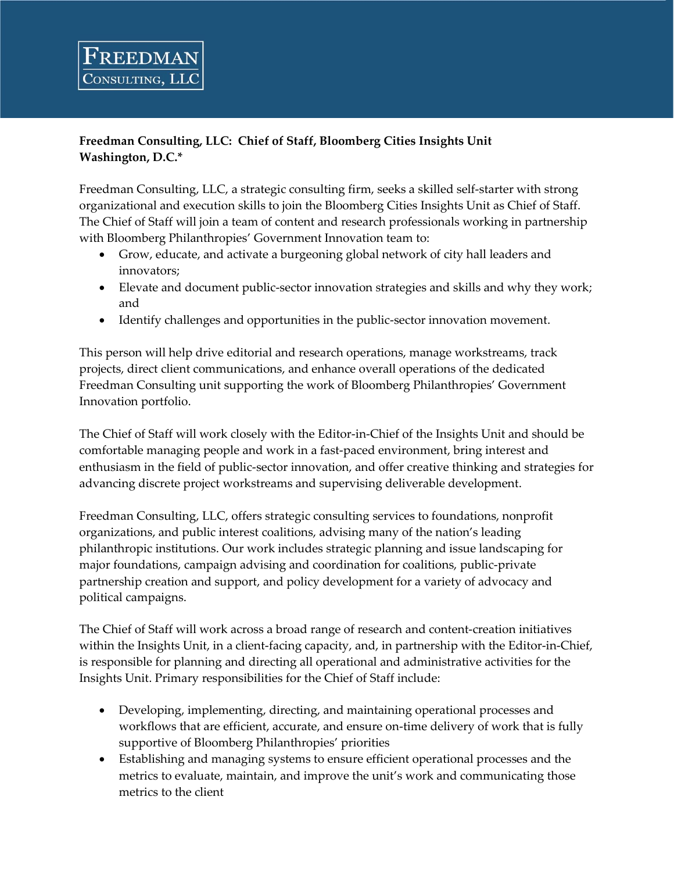## **Freedman Consulting, LLC: Chief of Staff, Bloomberg Cities Insights Unit Washington, D.C.\***

FREEDMAN

CONSULTING, LI

Freedman Consulting, LLC, a strategic consulting firm, seeks a skilled self-starter with strong organizational and execution skills to join the Bloomberg Cities Insights Unit as Chief of Staff. The Chief of Staff will join a team of content and research professionals working in partnership with Bloomberg Philanthropies' Government Innovation team to:

- Grow, educate, and activate a burgeoning global network of city hall leaders and innovators;
- Elevate and document public-sector innovation strategies and skills and why they work; and
- Identify challenges and opportunities in the public-sector innovation movement.

This person will help drive editorial and research operations, manage workstreams, track projects, direct client communications, and enhance overall operations of the dedicated Freedman Consulting unit supporting the work of Bloomberg Philanthropies' Government Innovation portfolio.

The Chief of Staff will work closely with the Editor-in-Chief of the Insights Unit and should be comfortable managing people and work in a fast-paced environment, bring interest and enthusiasm in the field of public-sector innovation, and offer creative thinking and strategies for advancing discrete project workstreams and supervising deliverable development.

Freedman Consulting, LLC, offers strategic consulting services to foundations, nonprofit organizations, and public interest coalitions, advising many of the nation's leading philanthropic institutions. Our work includes strategic planning and issue landscaping for major foundations, campaign advising and coordination for coalitions, public-private partnership creation and support, and policy development for a variety of advocacy and political campaigns.

The Chief of Staff will work across a broad range of research and content-creation initiatives within the Insights Unit, in a client-facing capacity, and, in partnership with the Editor-in-Chief, is responsible for planning and directing all operational and administrative activities for the Insights Unit. Primary responsibilities for the Chief of Staff include:

- Developing, implementing, directing, and maintaining operational processes and workflows that are efficient, accurate, and ensure on-time delivery of work that is fully supportive of Bloomberg Philanthropies' priorities
- Establishing and managing systems to ensure efficient operational processes and the metrics to evaluate, maintain, and improve the unit's work and communicating those metrics to the client